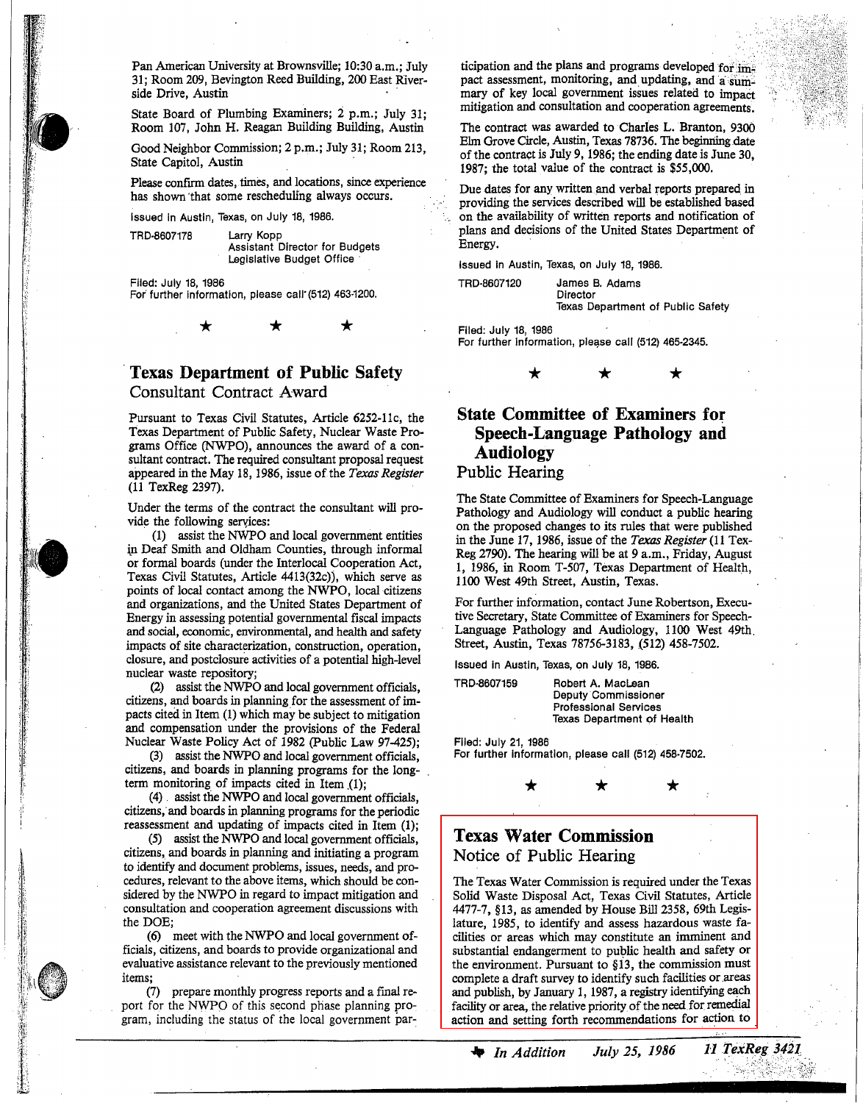Pan American University at Brownsville; 10:30 a.m.; July 31; Room 209, Bevington Reed Building, 200 East Riverside Drive, Austin

State Board of Plumbing Examiners; 2 p.m.; July 31; Room 107, John H. Reagan Building Building, Austin

Good Neighbor Commission; 2 p.m.; July 31; Room 213, State Capitol, Austin '

Please confirm dates, times, and locations, since experience has shown 'that some rescheduling always occurs.

Issued In Austin, Texas, on July 18, 1986.

TRD·8607178 Larry Kopp

"

:~.

Assistant Director for Budgets legislative Budget Office'

Flied: July 18, 1986 For further information, please call (512) 463-1200.

.**Texas Department of Public Safety** Consultant Contract Award

\* \* \*

Pursuant to Texas Civil Statutes, Article 6252-11c, the Texas Department of Public Safety, Nuclear Waste Programs OffIce (NWPO), announces the award of a consultant contract. The required consultant proposal request appeared in the May 18, 1986, issue of the *Texas Register* (11 TexReg 2397).

Under the terms of the contract the consultant will provide the following services:

(1) assist the NWPO and local government entities in Deaf Smith and Oldham Counties, through informal or formal boards (under the Interlocal Cooperation Act, Texas Civil Statutes, Article 4413(32c)), which serve as points of local contact among the NWPO, local citizens and organizations, and the United States Department of Energy in assessing potential governmental fiscal impacts and social, economic, environmental, and health and safety impacts of site characterization, construction, operation, closure, and postclosure activities of a potential high-level nuclear waste repository;

(2) assist the NWPO and local government officials, citizens, and boards in planning for the assessment of impacts cited in Item (1) which may be subject to mitigation and compensation under the provisions of the Federal Nuclear Waste Policy Act of 1982 (public Law 97-425);

(3) assist the NWPO and local government officials, citizens, and boards in planning programs for the longterm monitoring of impacts cited in Item  $(1)$ ;

(4). assist the NWPO and local government offIcials, citizens, and boards in planning programs for the periodic reassessment and updating of impacts cited in Item (1);

(5) assist the NWPO and local government officials, citizens, and boards in planning and initiating a program to identify and document problems, issues, needs, and procedures, relevant to the above items, which should be considered by the NWPO in regard to impact mitigation and consultation and cooperation agreement discussions with the DOE;

(6) meet with the NWPO and local government officials, citizens, and boards to provide organizational and evaluative assistance relevant to the previously mentioned items;

(7) prepare monthly progress reports and a final report for the NWPO of this second phase planning program, including the status of the local government par-

ticipation and the plans and programs developed for  $\lim_{n \to \infty}$ pact assessment, monitoring, and updating, and a summary of key local government issues related to impact mitigation and consultation and cooperation agreements.

The contract was awarded to Charles L. Branton, 9300 Elm Grove Circle, Austin, Texas 78736. The beginning date of the contract is July 9, 1986; the ending date is June 30, 1987; the total value of the contract is \$55,000.

Due dates for any written and verbal reports prepared in providing the services described will be established based • <sup>&</sup>lt; on the availability of written reports and notification of plans and decisions of the United States Department of Energy. .

Issued In Austin, Texas, on July 18, 1986.

TRD·8607120 James B. Adams **Director** Texas Department of Public Safety

Flied: July 18, 1986 For further information, please call (512) 465-2345.



## **State Committee of Examiners for Speech-Language Pathology and Audiology** Public Hearing

The State Committee of Examiners for Speech-Language Pathology and Audiology will conduct a public hearing on the proposed changes to its rules that were published in the June 17, 1986, issue of the *Texas Register* (11 Tex-Reg 2790). The hearing will be at 9 a.m., Friday, August 1, 1986, in Room T-507, Texas Department of Health, 1100 West 49th Street, Austin, Texas.

For further information, contact June Robertson, Executive Secretary, State Committee of Examiners for Speech-Language Pathology and Audiology, 1100 West 49th. Street, Austin, Texas 78756-3183, (512) 458-7502.

Issued In Austin, Texas, on July 18, 1986.

TRD·8607159 Robert A. Maclean Deputy Commissioner Professional Services Texas Department of Health

\* \*

Flied: July 21, 1986 For further Information, please call (512) 458·7502.

## **Texas Water Commission** Notice of Public Hearing

\*

The Texas Water Commission is required under the Texas Solid Waste Disposal Act, Texas Civil Statutes, Article 4477-7, §13, as amended by House Bill 2358, 69th Legislature, 1985, to identify and assess hazardous waste facilities or areas which may constitute an imminent and substantial endangerment to public health and safety or the environment. Pursuant to §i3, the commission must complete a draft survey to identify such facilities or areas and publish, by January 1, 1987, a registry identifying each facility or area, the relative priority of the need for remedial action and setting forth recommendations for action to